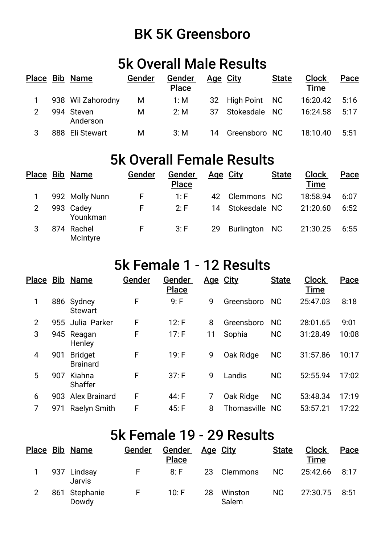## BK 5K Greensboro

### 5k Overall Male Results

|   | Place Bib Name         | Gender | Gender<br><b>Place</b> |    | Age City         | <b>State</b> | <b>Clock</b><br><b>Time</b> | Pace |
|---|------------------------|--------|------------------------|----|------------------|--------------|-----------------------------|------|
|   | 938 Wil Zahorodny      | M      | 1: M                   |    | 32 High Point NC |              | 16:20.42                    | 5:16 |
| 2 | 994 Steven<br>Anderson | M      | 2: M                   | 37 | Stokesdale NC    |              | 16:24.58                    | 5:17 |
|   | 888 Eli Stewart        | M      | 3: M                   |    | 14 Greensboro NC |              | 18:10.40                    | 5:51 |

## 5k Overall Female Results

|                | Place Bib Name         | Gender | Gender<br><b>Place</b> | Age City |                  | <b>State</b> | <b>Clock</b><br><b>Time</b> | Pace |
|----------------|------------------------|--------|------------------------|----------|------------------|--------------|-----------------------------|------|
|                | 992 Molly Nunn         | F.     | 1: F                   | 42       | Clemmons NC      |              | 18:58.94                    | 6:07 |
| $\overline{2}$ | 993 Cadey<br>Younkman  | F      | 2: F                   |          | 14 Stokesdale NC |              | 21:20.60                    | 6:52 |
|                | 874 Rachel<br>McIntyre | E.     | 3: F                   | 29       | Burlington NC    |              | 21:30.25                    | 6:55 |

### 5k Female 1 - 12 Results

| Place          |     | <b>Bib Name</b>                   | Gender | Gender<br><b>Place</b> | Age City |                | <b>State</b> | <b>Clock</b><br><b>Time</b> | Pace  |
|----------------|-----|-----------------------------------|--------|------------------------|----------|----------------|--------------|-----------------------------|-------|
| 1              |     | 886 Sydney<br><b>Stewart</b>      | F      | 9: F                   | 9        | Greensboro     | <b>NC</b>    | 25:47.03                    | 8:18  |
| $\overline{2}$ |     | 955 Julia Parker                  | F      | 12: F                  | 8        | Greensboro     | <b>NC</b>    | 28:01.65                    | 9:01  |
| 3              |     | 945 Reagan<br>Henley              | F      | 17: F                  | 11       | Sophia         | <b>NC</b>    | 31:28.49                    | 10:08 |
| 4              | 901 | <b>Bridget</b><br><b>Brainard</b> | F      | 19: F                  | 9        | Oak Ridge      | <b>NC</b>    | 31:57.86                    | 10:17 |
| 5              | 907 | Kiahna<br><b>Shaffer</b>          | F      | 37: F                  | 9        | Landis         | <b>NC</b>    | 52:55.94                    | 17:02 |
| 6              | 903 | <b>Alex Brainard</b>              | F      | 44: F                  | 7        | Oak Ridge      | <b>NC</b>    | 53:48.34                    | 17:19 |
| 7              | 971 | Raelyn Smith                      | F      | 45: F                  | 8        | Thomasville NC |              | 53:57.21                    | 17:22 |

## 5k Female 19 - 29 Results

|   | Place Bib Name         | Gender | Gender<br><b>Place</b> |    | Age City         | <b>State</b> | <b>Clock</b><br>Time | Pace |
|---|------------------------|--------|------------------------|----|------------------|--------------|----------------------|------|
|   | 937 Lindsay<br>Jarvis  | F.     | $8:$ F                 | 23 | Clemmons         | NC.          | 25:42.66             | 8:17 |
| 2 | 861 Stephanie<br>Dowdy | F.     | 10: F                  | 28 | Winston<br>Salem | <b>NC</b>    | 27:30.75             | 8:51 |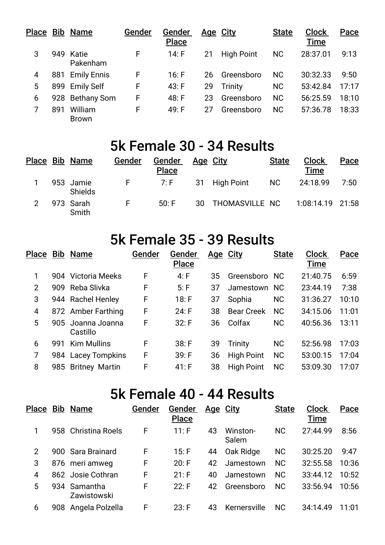|   |     | Place Bib Name          | Gender | Gender<br><b>Place</b> |    | <u>Age City</u>   | <b>State</b> | <b>Clock</b><br><b>Time</b> | Pace  |
|---|-----|-------------------------|--------|------------------------|----|-------------------|--------------|-----------------------------|-------|
| 3 |     | 949 Katie<br>Pakenham   | F      | 14: F                  | 21 | <b>High Point</b> | <b>NC</b>    | 28:37.01                    | 9:13  |
| 4 | 881 | <b>Emily Ennis</b>      | F      | 16: F                  | 26 | Greensboro        | <b>NC</b>    | 30:32.33                    | 9:50  |
| 5 |     | 899 Emily Self          | F      | 43: F                  | 29 | Trinity           | <b>NC</b>    | 53:42.84                    | 17:17 |
| 6 | 928 | <b>Bethany Som</b>      | F      | 48: F                  | 23 | Greensboro        | <b>NC</b>    | 56:25.59                    | 18:10 |
|   | 891 | William<br><b>Brown</b> | F      | 49: F                  | 27 | Greensboro        | <b>NC</b>    | 57:36.78                    | 18:33 |

#### 5k Female 30 - 34 Results

|   | Place Bib Name              | Gender | Gender<br><b>Place</b> | <u>Age City</u> |                   | <b>State</b> | <b>Clock</b><br>Time | Pace |
|---|-----------------------------|--------|------------------------|-----------------|-------------------|--------------|----------------------|------|
|   | 953 Jamie<br><b>Shields</b> | F.     | 7: F                   |                 | 31 High Point     | NC.          | 24:18.99             | 7:50 |
| 2 | 973 Sarah<br>Smith          | E.     | 50: F                  |                 | 30 THOMASVILLE NC |              | 1:08:14.19 21:58     |      |

# 5k Female 35 - 39 Results

| Place          |     | <b>Bib Name</b>               | Gender | Gender<br><b>Place</b> | <u>Age City</u> |                   | <b>State</b> | <b>Clock</b><br><b>Time</b> | Pace  |
|----------------|-----|-------------------------------|--------|------------------------|-----------------|-------------------|--------------|-----------------------------|-------|
| 1              |     | 904 Victoria Meeks            | F      | 4: F                   | 35              | Greensboro NC     |              | 21:40.75                    | 6:59  |
| $\overline{2}$ |     | 909 Reba Slivka               | F      | 5: F                   | 37              | Jamestown NC      |              | 23:44.19                    | 7:38  |
| 3              |     | 944 Rachel Henley             | F      | 18: F                  | 37              | Sophia            | <b>NC</b>    | 31:36.27                    | 10:10 |
| 4              |     | 872 Amber Farthing            | F      | 24: F                  | 38              | <b>Bear Creek</b> | <b>NC</b>    | 34:15.06                    | 11:01 |
| 5              |     | 905 Joanna Joanna<br>Castillo | F      | 32: F                  | 36              | Colfax            | <b>NC</b>    | 40:56.36                    | 13:11 |
| 6              | 991 | <b>Kim Mullins</b>            | F      | 38: F                  | 39              | Trinity           | <b>NC</b>    | 52:56.98                    | 17:03 |
| 7              | 984 | <b>Lacey Tompkins</b>         | F      | 39: F                  | 36              | <b>High Point</b> | <b>NC</b>    | 53:00.15                    | 17:04 |
| 8              | 985 | <b>Britney Martin</b>         | F      | 41: F                  | 38              | <b>High Point</b> | <b>NC</b>    | 53:09.30                    | 17:07 |

### 5k Female 40 - 44 Results

| Place          | <b>Bib Name</b>             | Gender | Gender<br><b>Place</b> | <u>Age City</u> |                   | <b>State</b> | <b>Clock</b><br><b>Time</b> | Pace  |
|----------------|-----------------------------|--------|------------------------|-----------------|-------------------|--------------|-----------------------------|-------|
| 1              | 958 Christina Roels         | F      | 11: F                  | 43              | Winston-<br>Salem | <b>NC</b>    | 27:44.99                    | 8:56  |
| $\overline{2}$ | 900 Sara Brainard           | F      | 15: F                  | 44              | Oak Ridge         | <b>NC</b>    | 30:25.20                    | 9:47  |
| 3              | 876 meri amweg              | F      | 20: F                  | 42              | Jamestown         | <b>NC</b>    | 32:55.58                    | 10:36 |
| 4              | 862 Josie Cothran           | F      | 21: F                  | 40              | Jamestown         | <b>NC</b>    | 33:44.12                    | 10:52 |
| 5              | 934 Samantha<br>Zawistowski | F      | 22: F                  | 42              | Greensboro        | <b>NC</b>    | 33:56.94                    | 10:56 |
| 6              | 908 Angela Polzella         | F      | 23: F                  | 43              | Kernersville      | <b>NC</b>    | 34:14.49                    | 11:01 |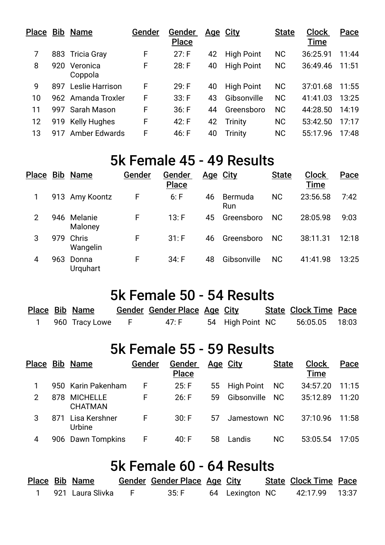| Place |     | <b>Bib Name</b>      | Gender | Gender<br><b>Place</b> |    | <u>Age City</u>   | <b>State</b> | <b>Clock</b><br><b>Time</b> | Pace  |
|-------|-----|----------------------|--------|------------------------|----|-------------------|--------------|-----------------------------|-------|
|       |     | 883 Tricia Gray      | F      | 27: F                  | 42 | <b>High Point</b> | <b>NC</b>    | 36:25.91                    | 11:44 |
| 8     | 920 | Veronica<br>Coppola  | F      | 28: F                  | 40 | <b>High Point</b> | <b>NC</b>    | 36:49.46                    | 11:51 |
| 9     | 897 | Leslie Harrison      | F      | 29: F                  | 40 | <b>High Point</b> | <b>NC</b>    | 37:01.68                    | 11:55 |
| 10    |     | 962 Amanda Troxler   | F      | 33: F                  | 43 | Gibsonville       | <b>NC</b>    | 41:41.03                    | 13:25 |
| 11    |     | 997 Sarah Mason      | F      | 36: F                  | 44 | Greensboro        | <b>NC</b>    | 44:28.50                    | 14:19 |
| 12    |     | 919 Kelly Hughes     | F      | 42: F                  | 42 | <b>Trinity</b>    | <b>NC</b>    | 53:42.50                    | 17:17 |
| 13    | 917 | <b>Amber Edwards</b> | F      | 46: F                  | 40 | Trinity           | <b>NC</b>    | 55:17.96                    | 17:48 |

#### 5k Female 45 - 49 Results

| Place |     | <b>Bib Name</b>        | Gender | Gender<br><b>Place</b> |    | <u>Age City</u> | <b>State</b> | <b>Clock</b><br><b>Time</b> | Pace  |
|-------|-----|------------------------|--------|------------------------|----|-----------------|--------------|-----------------------------|-------|
| 1     |     | 913 Amy Koontz         | F      | 6: F                   | 46 | Bermuda<br>Run  | <b>NC</b>    | 23:56.58                    | 7:42  |
| 2     |     | 946 Melanie<br>Maloney | F      | 13: F                  | 45 | Greensboro      | <b>NC</b>    | 28:05.98                    | 9:03  |
| 3     | 979 | Chris<br>Wangelin      | F      | 31: F                  | 46 | Greensboro      | <b>NC</b>    | 38:11.31                    | 12:18 |
| 4     | 963 | Donna<br>Urquhart      | F      | 34: F                  | 48 | Gibsonville     | <b>NC</b>    | 41:41.98                    | 13:25 |

#### 5k Female 50 - 54 Results

|  | Place Bib Name   | Gender Gender Place Age City |                  | <b>State Clock Time Pace</b> |  |
|--|------------------|------------------------------|------------------|------------------------------|--|
|  | 960 Tracy Lowe F | 47: F                        | 54 High Point NC | 56:05.05 18:03               |  |

## 5k Female 55 - 59 Results

|   | Place Bib Name                 | Gender | <b>Gender</b><br><b>Place</b> | <u>Age City</u> |                  | <b>State</b> | <b>Clock</b><br><b>Time</b> | Pace  |
|---|--------------------------------|--------|-------------------------------|-----------------|------------------|--------------|-----------------------------|-------|
|   | 950 Karin Pakenham             | F.     | 25: F                         |                 | 55 High Point NC |              | 34:57.20                    | 11:15 |
| 2 | 878 MICHELLE<br><b>CHATMAN</b> | F.     | 26: F                         | 59              | Gibsonville NC   |              | 35:12.89                    | 11:20 |
| 3 | 871 Lisa Kershner<br>Urbine    | F.     | 30: F                         | 57              | Jamestown NC     |              | 37:10.96                    | 11:58 |
| 4 | 906 Dawn Tompkins              | F.     | 40: F                         | 58              | Landis           | NC.          | 53:05.54                    | 17:05 |

#### 5k Female 60 - 64 Results

|  | Place Bib Name     | Gender Gender Place Age City |                 | <b>State Clock Time Pace</b> |  |
|--|--------------------|------------------------------|-----------------|------------------------------|--|
|  | 921   Laura Slivka | 35: F                        | 64 Lexington NC | 42:17.99 13:37               |  |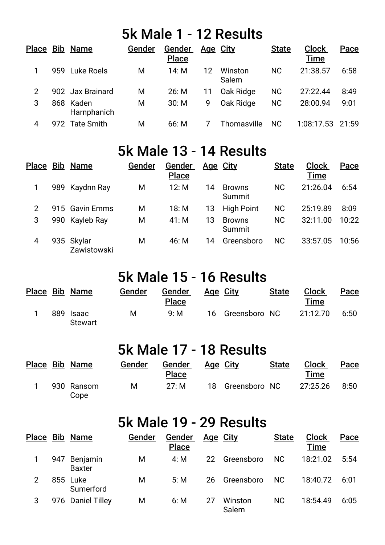## 5k Male 1 - 12 Results

| Place          |     | <b>Bib Name</b>          | Gender | Gender<br><b>Place</b> | Age City |                  | <b>State</b> | <b>Clock</b><br><b>Time</b> | Pace  |
|----------------|-----|--------------------------|--------|------------------------|----------|------------------|--------------|-----------------------------|-------|
|                |     | 959 Luke Roels           | M      | 14: M                  | 12       | Winston<br>Salem | <b>NC</b>    | 21:38.57                    | 6:58  |
| $\overline{2}$ |     | 902 Jax Brainard         | M      | 26: M                  | 11       | Oak Ridge        | <b>NC</b>    | 27:22.44                    | 8:49  |
| 3              |     | 868 Kaden<br>Harnphanich | M      | 30: M                  | 9        | Oak Ridge        | <b>NC</b>    | 28:00.94                    | 9:01  |
| 4              | 972 | <b>Tate Smith</b>        | M      | 66: M                  |          | Thomasville      | <b>NC</b>    | 1:08:17.53                  | 21:59 |

## 5k Male 13 - 14 Results

| Place | <b>Bib Name</b>           | Gender | Gender<br><b>Place</b> | Age City |                         | <b>State</b> | <b>Clock</b><br><b>Time</b> | Pace  |
|-------|---------------------------|--------|------------------------|----------|-------------------------|--------------|-----------------------------|-------|
|       | 989 Kaydnn Ray            | M      | 12: M                  | 14       | <b>Browns</b><br>Summit | <b>NC</b>    | 21:26.04                    | 6:54  |
| 2     | 915 Gavin Emms            | М      | 18: M                  | 13       | <b>High Point</b>       | <b>NC</b>    | 25:19.89                    | 8:09  |
| 3     | 990 Kayleb Ray            | M      | 41: M                  | 13       | <b>Browns</b><br>Summit | <b>NC</b>    | 32:11.00                    | 10:22 |
| 4     | 935 Skylar<br>Zawistowski | M      | 46: M                  | 14       | Greensboro              | NC.          | 33:57.05                    | 10:56 |

## 5k Male 15 - 16 Results

|  | Place Bib Name       | Gender | Gender<br><b>Place</b> | Age City         | <b>State</b> | <b>Clock</b><br>Time | Pace |
|--|----------------------|--------|------------------------|------------------|--------------|----------------------|------|
|  | 889 Isaac<br>Stewart | M      | 9: M                   | 16 Greensboro NC |              | 21:12.70             | 6:50 |

#### 5k Male 17 - 18 Results

|  | Place Bib Name     | Gender | Gender<br><b>Place</b> | Age City |                  | <b>State</b> | <b>Clock</b><br><b>Time</b> | Pace |
|--|--------------------|--------|------------------------|----------|------------------|--------------|-----------------------------|------|
|  | 930 Ransom<br>Cope | М      | 27: M                  |          | 18 Greensboro NC |              | 27:25.26                    | 8:50 |

### 5k Male 19 - 29 Results

|   |     | Place Bib Name            | Gender | Gender<br><b>Place</b> |    | <u>Age City</u>  | <b>State</b>   | <b>Clock</b><br><b>Time</b> | Pace |
|---|-----|---------------------------|--------|------------------------|----|------------------|----------------|-----------------------------|------|
|   | 947 | Benjamin<br><b>Baxter</b> | M      | 4: M                   | 22 | Greensboro       | N <sub>C</sub> | 18:21.02                    | 5:54 |
| 2 |     | 855 Luke<br>Sumerford     | М      | 5: M                   | 26 | Greensboro       | N <sub>C</sub> | 18:40.72                    | 6:01 |
| 3 |     | 976 Daniel Tilley         | M      | 6: M                   | 27 | Winston<br>Salem | <b>NC</b>      | 18:54.49                    | 6:05 |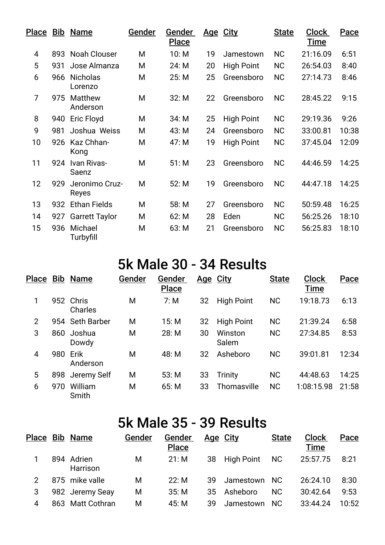|                |     | Plac <u>e Bib</u> Name     | Gender | Gender<br><b>Place</b> |    | Age City          | <b>State</b> | <b>Clock</b><br><b>Time</b> | Pace  |
|----------------|-----|----------------------------|--------|------------------------|----|-------------------|--------------|-----------------------------|-------|
| $\overline{4}$ | 893 | <b>Noah Clouser</b>        | M      | 10: M                  | 19 | Jamestown         | <b>NC</b>    | 21:16.09                    | 6:51  |
| 5              | 931 | Jose Almanza               | M      | 24: M                  | 20 | <b>High Point</b> | <b>NC</b>    | 26:54.03                    | 8:40  |
| 6              | 966 | <b>Nicholas</b><br>Lorenzo | M      | 25: M                  | 25 | Greensboro        | <b>NC</b>    | 27:14.73                    | 8:46  |
| $\overline{7}$ | 975 | Matthew<br>Anderson        | M      | 32: M                  | 22 | Greensboro        | <b>NC</b>    | 28:45.22                    | 9:15  |
| 8              | 940 | Eric Floyd                 | M      | 34: M                  | 25 | <b>High Point</b> | <b>NC</b>    | 29:19.36                    | 9:26  |
| 9              | 981 | Joshua Weiss               | M      | 43: M                  | 24 | Greensboro        | <b>NC</b>    | 33:00.81                    | 10:38 |
| 10             | 926 | Kaz Chhan-<br>Kong         | M      | 47: M                  | 19 | <b>High Point</b> | <b>NC</b>    | 37:45.04                    | 12:09 |
| 11             | 924 | Ivan Rivas-<br>Saenz       | M      | 51: M                  | 23 | Greensboro        | <b>NC</b>    | 44:46.59                    | 14:25 |
| 12             | 929 | Jeronimo Cruz-<br>Reyes    | M      | 52: M                  | 19 | Greensboro        | <b>NC</b>    | 44:47.18                    | 14:25 |
| 13             | 932 | <b>Ethan Fields</b>        | M      | 58: M                  | 27 | Greensboro        | <b>NC</b>    | 50:59.48                    | 16:25 |
| 14             | 927 | <b>Garrett Taylor</b>      | M      | 62: M                  | 28 | Eden              | <b>NC</b>    | 56:25.26                    | 18:10 |
| 15             | 936 | Michael<br>Turbyfill       | M      | 63: M                  | 21 | Greensboro        | <b>NC</b>    | 56:25.83                    | 18:10 |

## 5k Male 30 - 34 Results

| Place          |     | <b>Bib Name</b>    | Gender | <u>Gender</u><br><b>Place</b> |    | <u>Age City</u>   | <b>State</b> | <b>Clock</b><br>Time | Pace  |
|----------------|-----|--------------------|--------|-------------------------------|----|-------------------|--------------|----------------------|-------|
| 1              | 952 | Chris<br>Charles   | M      | 7: M                          | 32 | <b>High Point</b> | <b>NC</b>    | 19:18.73             | 6:13  |
| $\overline{2}$ | 954 | <b>Seth Barber</b> | M      | 15: M                         | 32 | <b>High Point</b> | <b>NC</b>    | 21:39.24             | 6:58  |
| 3              | 860 | Joshua<br>Dowdy    | M      | 28: M                         | 30 | Winston<br>Salem  | <b>NC</b>    | 27:34.85             | 8:53  |
| 4              | 980 | Erik<br>Anderson   | M      | 48: M                         | 32 | Asheboro          | <b>NC</b>    | 39:01.81             | 12:34 |
| 5              | 898 | Jeremy Self        | M      | 53: M                         | 33 | <b>Trinity</b>    | <b>NC</b>    | 44:48.63             | 14:25 |
| 6              | 970 | William<br>Smith   | M      | 65: M                         | 33 | Thomasville       | <b>NC</b>    | 1:08:15.98           | 21:58 |

## 5k Male 35 - 39 Results

|   | Place Bib Name         | Gender | Gender<br><b>Place</b> |     | <u>Age City</u> | <b>State</b> | <b>Clock</b><br><b>Time</b> | Pace  |
|---|------------------------|--------|------------------------|-----|-----------------|--------------|-----------------------------|-------|
|   | 894 Adrien<br>Harrison | M      | 21: M                  | 38  | High Point      | NC.          | 25:57.75                    | 8:21  |
|   | 875 mike valle         | M      | 22: M                  | 39  | Jamestown NC    |              | 26:24.10                    | 8:30  |
|   | 982 Jeremy Seay        | M      | 35: M                  | 35  | Asheboro        | <b>NC</b>    | 30:42.64                    | 9:53  |
| 4 | 863 Matt Cothran       | M      | 45: M                  | 39. | Jamestown       | - NC         | 33:44.24                    | 10:52 |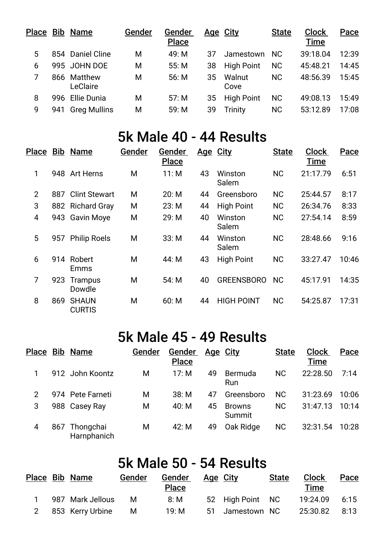|   |     | Place Bib Name          | Gender | Gender<br><b>Place</b> |    | Age City          | <b>State</b> | <b>Clock</b><br><b>Time</b> | Pace  |
|---|-----|-------------------------|--------|------------------------|----|-------------------|--------------|-----------------------------|-------|
| 5 |     | 854 Daniel Cline        | M      | 49: M                  | 37 | Jamestown         | <b>NC</b>    | 39:18.04                    | 12:39 |
| 6 |     | 995 JOHN DOE            | M      | 55: M                  | 38 | <b>High Point</b> | <b>NC</b>    | 45:48.21                    | 14:45 |
|   |     | 866 Matthew<br>LeClaire | M      | 56: M                  | 35 | Walnut<br>Cove    | <b>NC</b>    | 48:56.39                    | 15:45 |
| 8 |     | 996 Ellie Dunia         | M      | 57: M                  | 35 | <b>High Point</b> | <b>NC</b>    | 49:08.13                    | 15:49 |
| 9 | 941 | <b>Greg Mullins</b>     | M      | 59: M                  | 39 | <b>Trinity</b>    | <b>NC</b>    | 53:12.89                    | 17:08 |

# 5k Male 40 - 44 Results

| <b>Place</b>   |     | <b>Bib Name</b>               | Gender | Gender<br><b>Place</b> |    | Age City          | <b>State</b> | <b>Clock</b><br>Time | Pace  |
|----------------|-----|-------------------------------|--------|------------------------|----|-------------------|--------------|----------------------|-------|
| 1              |     | 948 Art Herns                 | М      | 11: M                  | 43 | Winston<br>Salem  | <b>NC</b>    | 21:17.79             | 6:51  |
| $\overline{2}$ | 887 | Clint Stewart                 | M      | 20: M                  | 44 | Greensboro        | <b>NC</b>    | 25:44.57             | 8:17  |
| 3              |     | 882 Richard Gray              | M      | 23: M                  | 44 | <b>High Point</b> | <b>NC</b>    | 26:34.76             | 8:33  |
| 4              |     | 943 Gavin Moye                | M      | 29: M                  | 40 | Winston<br>Salem  | <b>NC</b>    | 27:54.14             | 8:59  |
| 5              | 957 | <b>Philip Roels</b>           | M      | 33: M                  | 44 | Winston<br>Salem  | <b>NC</b>    | 28:48.66             | 9:16  |
| 6              | 914 | Robert<br>Emms                | М      | 44: M                  | 43 | <b>High Point</b> | <b>NC</b>    | 33:27.47             | 10:46 |
| 7              | 923 | <b>Trampus</b><br>Dowdle      | M      | 54: M                  | 40 | <b>GREENSBORO</b> | <b>NC</b>    | 45:17.91             | 14:35 |
| 8              | 869 | <b>SHAUN</b><br><b>CURTIS</b> | М      | 60: M                  | 44 | <b>HIGH POINT</b> | <b>NC</b>    | 54:25.87             | 17:31 |

## 5k Male 45 - 49 Results

| Place          |     | <b>Bib Name</b>          | Gender | Gender<br><b>Place</b> | Age City |                         | <b>State</b> | <b>Clock</b><br>Time | Pace  |
|----------------|-----|--------------------------|--------|------------------------|----------|-------------------------|--------------|----------------------|-------|
|                |     | 912 John Koontz          | Μ      | 17: $M$                | 49       | Bermuda<br>Run          | <b>NC</b>    | 22:28.50             | 7:14  |
| $\overline{2}$ |     | 974 Pete Farneti         | M      | 38: M                  | 47       | Greensboro              | <b>NC</b>    | 31:23.69             | 10:06 |
| 3              |     | 988 Casey Ray            | М      | 40: M                  | 45       | <b>Browns</b><br>Summit | <b>NC</b>    | 31:47.13             | 10:14 |
| 4              | 867 | Thongchai<br>Harnphanich | Μ      | 42: M                  | 49       | Oak Ridge               | <b>NC</b>    | 32:31.54             | 10:28 |

## 5k Male 50 - 54 Results

|   | Place Bib Name   | Gender | Gender<br><b>Place</b> | Age City         | <b>State</b> | <b>Clock</b><br>Time | Pace |
|---|------------------|--------|------------------------|------------------|--------------|----------------------|------|
|   | 987 Mark Jellous | м      | 8: M                   | 52 High Point NC |              | 19:24.09             | 6:15 |
| 2 | 853 Kerry Urbine | M      | 19: M                  | 51 Jamestown NC  |              | 25:30.82             | 8:13 |